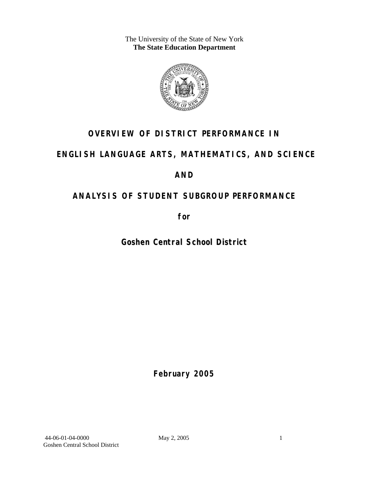The University of the State of New York **The State Education Department** 



# **OVERVIEW OF DISTRICT PERFORMANCE IN**

# **ENGLISH LANGUAGE ARTS, MATHEMATICS, AND SCIENCE**

# **AND**

# **ANALYSIS OF STUDENT SUBGROUP PERFORMANCE**

**for** 

**Goshen Central School District**

**February 2005**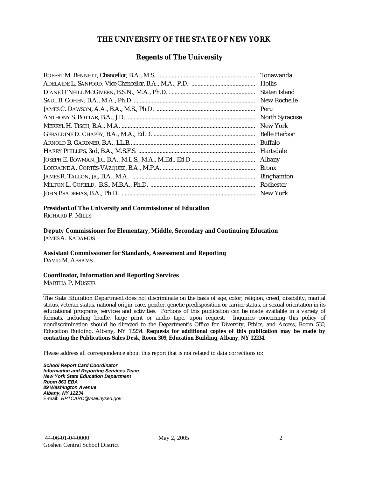#### **THE UNIVERSITY OF THE STATE OF NEW YORK**

#### **Regents of The University**

| Tonawanda             |
|-----------------------|
|                       |
| Staten Island         |
| New Rochelle          |
| Peru                  |
| <b>North Syracuse</b> |
| New York              |
| <b>Belle Harbor</b>   |
| <b>Buffalo</b>        |
| Hartsdale             |
| <b>Albany</b>         |
| <b>Bronx</b>          |
| <b>Binghamton</b>     |
| Rochester             |
| New York              |

# **President of The University and Commissioner of Education**

RICHARD P. MILLS

**Deputy Commissioner for Elementary, Middle, Secondary and Continuing Education**  JAMES A. KADAMUS

#### **Assistant Commissioner for Standards, Assessment and Reporting**  DAVID M. ABRAMS

**Coordinator, Information and Reporting Services** 

MARTHA P. MUSSER

The State Education Department does not discriminate on the basis of age, color, religion, creed, disability, marital status, veteran status, national origin, race, gender, genetic predisposition or carrier status, or sexual orientation in its educational programs, services and activities. Portions of this publication can be made available in a variety of formats, including braille, large print or audio tape, upon request. Inquiries concerning this policy of nondiscrimination should be directed to the Department's Office for Diversity, Ethics, and Access, Room 530, Education Building, Albany, NY 12234. **Requests for additional copies of this publication may be made by contacting the Publications Sales Desk, Room 309, Education Building, Albany, NY 12234.** 

Please address all correspondence about this report that is not related to data corrections to:

*School Report Card Coordinator Information and Reporting Services Team New York State Education Department Room 863 EBA 89 Washington Avenue Albany, NY 12234*  E-mail: *RPTCARD@mail.nysed.gov*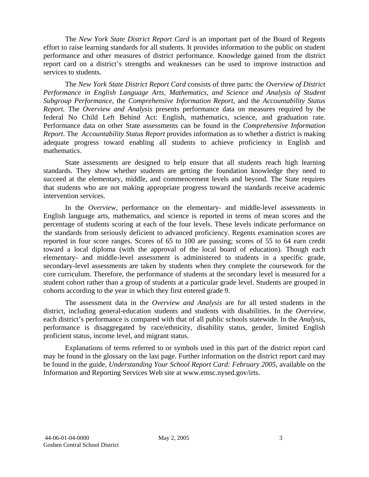The *New York State District Report Card* is an important part of the Board of Regents effort to raise learning standards for all students. It provides information to the public on student performance and other measures of district performance. Knowledge gained from the district report card on a district's strengths and weaknesses can be used to improve instruction and services to students.

The *New York State District Report Card* consists of three parts: the *Overview of District Performance in English Language Arts, Mathematics, and Science and Analysis of Student Subgroup Performance,* the *Comprehensive Information Report,* and the *Accountability Status Report.* The *Overview and Analysis* presents performance data on measures required by the federal No Child Left Behind Act: English, mathematics, science, and graduation rate. Performance data on other State assessments can be found in the *Comprehensive Information Report*. The *Accountability Status Report* provides information as to whether a district is making adequate progress toward enabling all students to achieve proficiency in English and mathematics.

State assessments are designed to help ensure that all students reach high learning standards. They show whether students are getting the foundation knowledge they need to succeed at the elementary, middle, and commencement levels and beyond. The State requires that students who are not making appropriate progress toward the standards receive academic intervention services.

In the *Overview*, performance on the elementary- and middle-level assessments in English language arts, mathematics, and science is reported in terms of mean scores and the percentage of students scoring at each of the four levels. These levels indicate performance on the standards from seriously deficient to advanced proficiency. Regents examination scores are reported in four score ranges. Scores of 65 to 100 are passing; scores of 55 to 64 earn credit toward a local diploma (with the approval of the local board of education). Though each elementary- and middle-level assessment is administered to students in a specific grade, secondary-level assessments are taken by students when they complete the coursework for the core curriculum. Therefore, the performance of students at the secondary level is measured for a student cohort rather than a group of students at a particular grade level. Students are grouped in cohorts according to the year in which they first entered grade 9.

The assessment data in the *Overview and Analysis* are for all tested students in the district, including general-education students and students with disabilities. In the *Overview*, each district's performance is compared with that of all public schools statewide. In the *Analysis*, performance is disaggregated by race/ethnicity, disability status, gender, limited English proficient status, income level, and migrant status.

Explanations of terms referred to or symbols used in this part of the district report card may be found in the glossary on the last page. Further information on the district report card may be found in the guide, *Understanding Your School Report Card: February 2005*, available on the Information and Reporting Services Web site at www.emsc.nysed.gov/irts.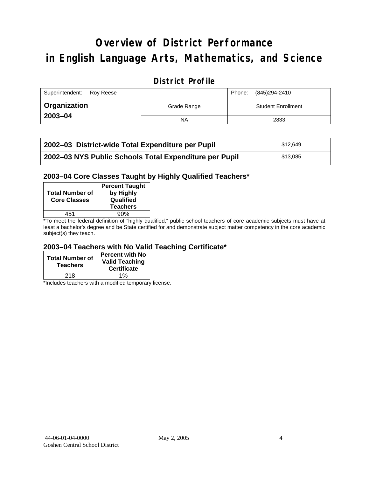# **Overview of District Performance in English Language Arts, Mathematics, and Science**

## **District Profile**

| Superintendent:<br>Rov Reese |             |  | (845)294-2410             |
|------------------------------|-------------|--|---------------------------|
| ' Organization               | Grade Range |  | <b>Student Enrollment</b> |
| $2003 - 04$                  | <b>NA</b>   |  | 2833                      |

| 2002–03 District-wide Total Expenditure per Pupil      | \$12.649 |
|--------------------------------------------------------|----------|
| 2002-03 NYS Public Schools Total Expenditure per Pupil | \$13,085 |

#### **2003–04 Core Classes Taught by Highly Qualified Teachers\***

| <b>Percent Taught</b><br>by Highly<br>Qualified<br><b>Teachers</b> |
|--------------------------------------------------------------------|
| 90%                                                                |
|                                                                    |

\*To meet the federal definition of "highly qualified," public school teachers of core academic subjects must have at least a bachelor's degree and be State certified for and demonstrate subject matter competency in the core academic subject(s) they teach.

#### **2003–04 Teachers with No Valid Teaching Certificate\***

| <b>Total Number of</b><br><b>Teachers</b> | <b>Percent with No</b><br><b>Valid Teaching</b><br><b>Certificate</b> |
|-------------------------------------------|-----------------------------------------------------------------------|
| 218                                       | 1%                                                                    |

\*Includes teachers with a modified temporary license.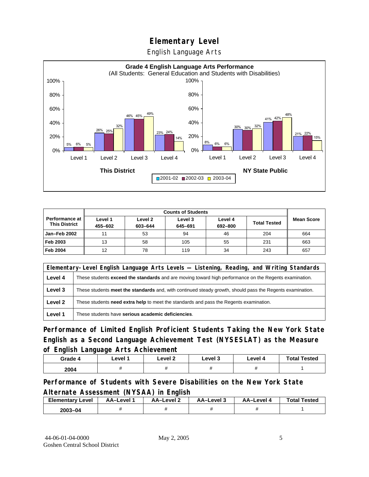English Language Arts



|                                          | <b>Counts of Students</b> |                    |                    |                    |                     |                   |
|------------------------------------------|---------------------------|--------------------|--------------------|--------------------|---------------------|-------------------|
| Performance at I<br><b>This District</b> | Level 1<br>455-602        | Level 2<br>603-644 | Level 3<br>645-691 | Level 4<br>692-800 | <b>Total Tested</b> | <b>Mean Score</b> |
| Jan-Feb 2002                             | 11                        | 53                 | 94                 | 46                 | 204                 | 664               |
| Feb 2003                                 | 13                        | 58                 | 105                | 55                 | 231                 | 663               |
| <b>Feb 2004</b>                          | 12                        | 78                 | 119                | 34                 | 243                 | 657               |

|         | Elementary-Level English Language Arts Levels — Listening, Reading, and Writing Standards                 |  |  |  |  |
|---------|-----------------------------------------------------------------------------------------------------------|--|--|--|--|
| Level 4 | These students exceed the standards and are moving toward high performance on the Regents examination.    |  |  |  |  |
| Level 3 | These students meet the standards and, with continued steady growth, should pass the Regents examination. |  |  |  |  |
| Level 2 | These students <b>need extra help</b> to meet the standards and pass the Regents examination.             |  |  |  |  |
| Level 1 | These students have serious academic deficiencies.                                                        |  |  |  |  |

**Performance of Limited English Proficient Students Taking the New York State English as a Second Language Achievement Test (NYSESLAT) as the Measure of English Language Arts Achievement**

| Grade 4 | Level 1 | Level 2 | Level 3 | Level 4 | <b>Total Tested</b> |
|---------|---------|---------|---------|---------|---------------------|
| 2004    |         |         |         |         |                     |

**Performance of Students with Severe Disabilities on the New York State Alternate Assessment (NYSAA) in English** 

| <b>Elementary</b><br>Level | AA-Level | <b>AA-Level 2</b> | AA-Level 3 | AA-Level 4 | <b>Total Tested</b> |
|----------------------------|----------|-------------------|------------|------------|---------------------|
| 2003-04                    |          |                   |            |            |                     |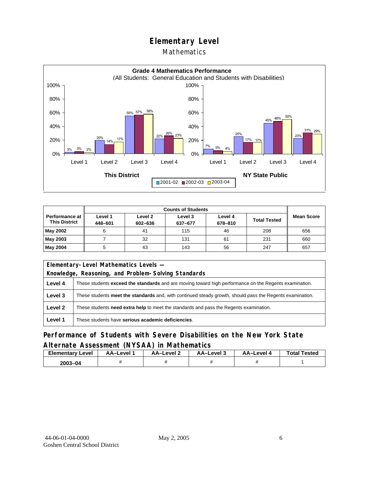#### Mathematics



|                                        | <b>Counts of Students</b> |                    |                    |                    |                     |                   |  |
|----------------------------------------|---------------------------|--------------------|--------------------|--------------------|---------------------|-------------------|--|
| Performance at<br><b>This District</b> | Level 1<br>448-601        | Level 2<br>602-636 | Level 3<br>637-677 | Level 4<br>678-810 | <b>Total Tested</b> | <b>Mean Score</b> |  |
| May 2002                               | 6                         | 41                 | 115                | 46                 | 208                 | 656               |  |
| May 2003                               |                           | 32                 | 131                | 61                 | 231                 | 660               |  |
| May 2004                               | 5                         | 43                 | 143                | 56                 | 247                 | 657               |  |

| Elementary-Level Mathematics Levels - |                                                                                                           |  |  |  |  |
|---------------------------------------|-----------------------------------------------------------------------------------------------------------|--|--|--|--|
|                                       | Knowledge, Reasoning, and Problem-Solving Standards                                                       |  |  |  |  |
| Level 4                               | These students exceed the standards and are moving toward high performance on the Regents examination.    |  |  |  |  |
| Level 3                               | These students meet the standards and, with continued steady growth, should pass the Regents examination. |  |  |  |  |
| Level 2                               | These students need extra help to meet the standards and pass the Regents examination.                    |  |  |  |  |
| Level 1                               | These students have serious academic deficiencies.                                                        |  |  |  |  |

#### **Performance of Students with Severe Disabilities on the New York State Alternate Assessment (NYSAA) in Mathematics**

| <b>Elementary Level</b> | AA-Level | AA-Level 2 | AA-Level 3 | <b>AA-Level 4</b> | <b>Total Tested</b> |
|-------------------------|----------|------------|------------|-------------------|---------------------|
| 2003-04                 |          |            |            |                   |                     |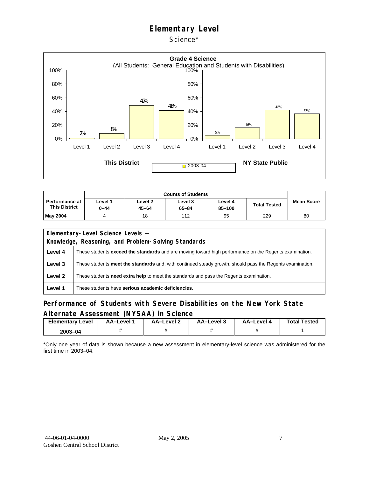Science\*



| Performance at<br><b>This District</b> | Level 1<br>0-44 | Level <sub>2</sub><br>$45 - 64$ | Level 3<br>$65 - 84$ | Level 4<br>85-100 | <b>Total Tested</b> | <b>Mean Score</b> |
|----------------------------------------|-----------------|---------------------------------|----------------------|-------------------|---------------------|-------------------|
| <b>May 2004</b>                        |                 | 18                              | 112                  | 95                | 229                 | 80                |

|         | Elementary-Level Science Levels -                                                                             |  |  |  |  |
|---------|---------------------------------------------------------------------------------------------------------------|--|--|--|--|
|         | Knowledge, Reasoning, and Problem-Solving Standards                                                           |  |  |  |  |
| Level 4 | These students <b>exceed the standards</b> and are moving toward high performance on the Regents examination. |  |  |  |  |
| Level 3 | These students meet the standards and, with continued steady growth, should pass the Regents examination.     |  |  |  |  |
| Level 2 | These students need extra help to meet the standards and pass the Regents examination.                        |  |  |  |  |
| Level 1 | These students have serious academic deficiencies.                                                            |  |  |  |  |

#### **Performance of Students with Severe Disabilities on the New York State Alternate Assessment (NYSAA) in Science**

| Elementarv<br>Level | AA-Level | AA-Level 2 | AA-Level 3 | AA-Level 4 | <b>Total Tested</b> |
|---------------------|----------|------------|------------|------------|---------------------|
| 2003-04             |          |            |            |            |                     |

\*Only one year of data is shown because a new assessment in elementary-level science was administered for the first time in 2003–04.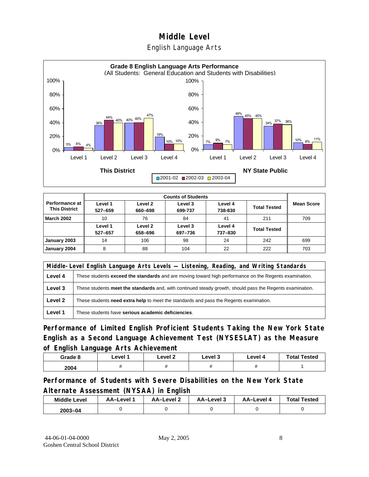#### English Language Arts



|                                        |                    |                    | <b>Counts of Students</b> |                    |                     |                   |
|----------------------------------------|--------------------|--------------------|---------------------------|--------------------|---------------------|-------------------|
| Performance at<br><b>This District</b> | Level 1<br>527-659 | Level 2<br>660-698 | Level 3<br>699-737        | Level 4<br>738-830 | <b>Total Tested</b> | <b>Mean Score</b> |
| <b>March 2002</b>                      | 10                 | 76                 | 84                        | 41                 | 211                 | 709               |
|                                        | Level 1<br>527-657 | Level 2<br>658-696 | Level 3<br>697-736        | Level 4<br>737-830 | <b>Total Tested</b> |                   |
| January 2003                           | 14                 | 106                | 98                        | 24                 | 242                 | 699               |
| January 2004                           | 8                  | 88                 | 104                       | 22                 | 222                 | 703               |

|         | Middle-Level English Language Arts Levels — Listening, Reading, and Writing Standards                         |  |  |  |  |
|---------|---------------------------------------------------------------------------------------------------------------|--|--|--|--|
| Level 4 | These students <b>exceed the standards</b> and are moving toward high performance on the Regents examination. |  |  |  |  |
| Level 3 | These students meet the standards and, with continued steady growth, should pass the Regents examination.     |  |  |  |  |
| Level 2 | These students need extra help to meet the standards and pass the Regents examination.                        |  |  |  |  |
| Level 1 | These students have serious academic deficiencies.                                                            |  |  |  |  |

**Performance of Limited English Proficient Students Taking the New York State English as a Second Language Achievement Test (NYSESLAT) as the Measure of English Language Arts Achievement**

| Grade 8 | Level 1 | Level <sub>2</sub> | Level 3 | Level 4 | <b>Total Tested</b> |
|---------|---------|--------------------|---------|---------|---------------------|
| 2004    |         |                    |         |         |                     |

**Performance of Students with Severe Disabilities on the New York State Alternate Assessment (NYSAA) in English** 

| <b>Middle Level</b> | AA-Level | AA-Level 2 | AA-Level 3 | AA-Level 4 | <b>Total Tested</b> |
|---------------------|----------|------------|------------|------------|---------------------|
| $2003 - 04$         |          |            |            |            |                     |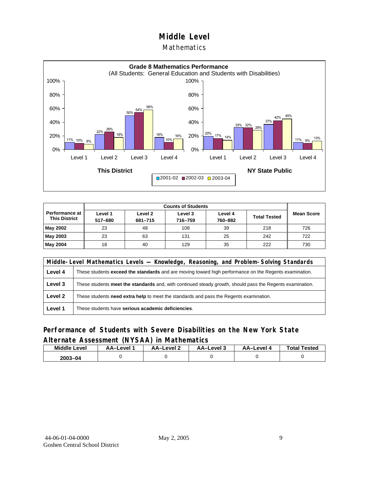#### Mathematics



|                                               |                    | <b>Counts of Students</b> |                    |                    |                     |                   |  |  |  |  |
|-----------------------------------------------|--------------------|---------------------------|--------------------|--------------------|---------------------|-------------------|--|--|--|--|
| <b>Performance at</b><br><b>This District</b> | Level 1<br>517-680 | Level 2<br>681-715        | Level 3<br>716-759 | Level 4<br>760-882 | <b>Total Tested</b> | <b>Mean Score</b> |  |  |  |  |
| May 2002                                      | 23                 | 48                        | 108                | 39                 | 218                 | 726               |  |  |  |  |
| May 2003                                      | 23                 | 63                        | 131                | 25                 | 242                 | 722               |  |  |  |  |
| May 2004                                      | 18                 | 40                        | 129                | 35                 | 222                 | 730               |  |  |  |  |

|         | Middle-Level Mathematics Levels — Knowledge, Reasoning, and Problem-Solving Standards                     |  |  |  |
|---------|-----------------------------------------------------------------------------------------------------------|--|--|--|
| Level 4 | These students exceed the standards and are moving toward high performance on the Regents examination.    |  |  |  |
| Level 3 | These students meet the standards and, with continued steady growth, should pass the Regents examination. |  |  |  |
| Level 2 | These students need extra help to meet the standards and pass the Regents examination.                    |  |  |  |
| Level 1 | These students have serious academic deficiencies.                                                        |  |  |  |

#### **Performance of Students with Severe Disabilities on the New York State Alternate Assessment (NYSAA) in Mathematics**

| Middle<br>Level | AA-Level | AA-Level 2 | AA-Level 3 | AA-Level 4 | <b>Total Tested</b> |
|-----------------|----------|------------|------------|------------|---------------------|
| 2003-<br>3-04   |          |            |            |            |                     |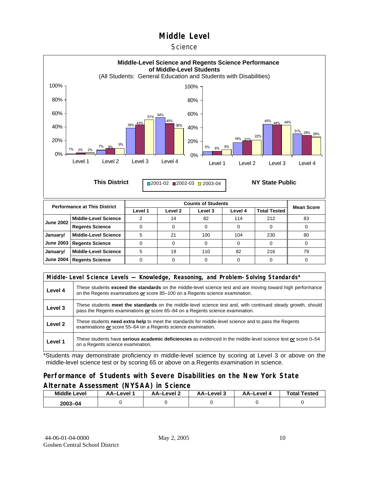#### **Science**



|                  |                             | ---- | ------ | ----- | ----- | .   |    |
|------------------|-----------------------------|------|--------|-------|-------|-----|----|
| <b>June 2002</b> | <b>Middle-Level Science</b> |      | 14     | 82    | 114   | 212 | 83 |
|                  | <b>Regents Science</b>      |      |        |       |       |     |    |
| January/         | <b>Middle-Level Science</b> |      | 21     | 100   | 104   | 230 | 80 |
| June 2003        | <b>Regents Science</b>      |      |        |       |       |     |    |
| January/         | <b>Middle-Level Science</b> |      | 19     | 110   | 82    | 216 | 79 |
|                  | June 2004   Regents Science |      |        |       |       |     |    |

|         | Middle-Level Science Levels — Knowledge, Reasoning, and Problem-Solving Standards*                                                                                                                  |  |  |  |  |
|---------|-----------------------------------------------------------------------------------------------------------------------------------------------------------------------------------------------------|--|--|--|--|
| Level 4 | These students <b>exceed the standards</b> on the middle-level science test and are moving toward high performance<br>on the Regents examinations or score 85–100 on a Regents science examination. |  |  |  |  |
| Level 3 | These students meet the standards on the middle-level science test and, with continued steady growth, should<br>pass the Regents examinations or score 65–84 on a Regents science examination.      |  |  |  |  |
| Level 2 | These students need extra help to meet the standards for middle-level science and to pass the Regents<br>examinations or score 55-64 on a Regents science examination.                              |  |  |  |  |
| Level 1 | These students have serious academic deficiencies as evidenced in the middle-level science test or score 0–54<br>on a Regents science examination.                                                  |  |  |  |  |

\*Students may demonstrate proficiency in middle-level science by scoring at Level 3 or above on the middle-level science test or by scoring 65 or above on a Regents examination in science.

#### **Performance of Students with Severe Disabilities on the New York State Alternate Assessment (NYSAA) in Science**

| <b>Middle Level</b> | AA-Level | <b>AA-Level 2</b> | AA-Level 3 | AA–Level 4 | <b>Total Tested</b> |  |
|---------------------|----------|-------------------|------------|------------|---------------------|--|
| 2003-04             |          |                   |            |            |                     |  |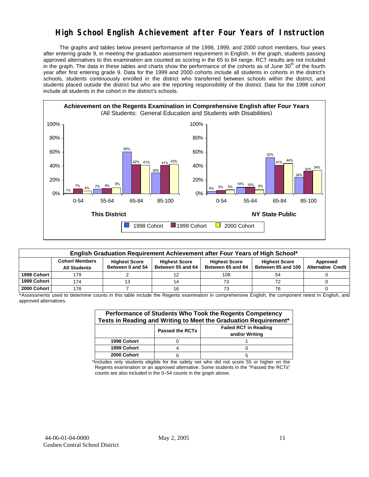# **High School English Achievement after Four Years of Instruction**

 The graphs and tables below present performance of the 1998, 1999, and 2000 cohort members, four years after entering grade 9, in meeting the graduation assessment requirement in English. In the graph, students passing approved alternatives to this examination are counted as scoring in the 65 to 84 range. RCT results are not included in the graph. The data in these tables and charts show the performance of the cohorts as of June 30<sup>th</sup> of the fourth year after first entering grade 9. Data for the 1999 and 2000 cohorts include all students in cohorts in the district's schools, students continuously enrolled in the district who transferred between schools within the district, and students placed outside the district but who are the reporting responsibility of the district. Data for the 1998 cohort include all students in the cohort in the district's schools.



| English Graduation Requirement Achievement after Four Years of High School* |                       |                                          |                                           |                                           |                                            |                                       |  |  |  |  |
|-----------------------------------------------------------------------------|-----------------------|------------------------------------------|-------------------------------------------|-------------------------------------------|--------------------------------------------|---------------------------------------|--|--|--|--|
|                                                                             | <b>Cohort Members</b> | <b>Highest Score</b><br>Between 0 and 54 | <b>Highest Score</b><br>Between 55 and 64 | <b>Highest Score</b><br>Between 65 and 84 | <b>Highest Score</b><br>Between 85 and 100 | Approved<br><b>Alternative Credit</b> |  |  |  |  |
|                                                                             | <b>All Students</b>   |                                          |                                           |                                           |                                            |                                       |  |  |  |  |
| 1998 Cohort                                                                 | 179                   |                                          |                                           | 108                                       | 54                                         |                                       |  |  |  |  |
| 1999 Cohort                                                                 | 174                   | 13                                       | 14                                        |                                           |                                            |                                       |  |  |  |  |
| 2000 Cohort                                                                 | 178                   |                                          |                                           |                                           | 76                                         |                                       |  |  |  |  |

\*Assessments used to determine counts in this table include the Regents examination in comprehensive English, the component retest in English, and approved alternatives.

| Performance of Students Who Took the Regents Competency<br>Tests in Reading and Writing to Meet the Graduation Requirement* |  |   |  |  |  |  |  |  |
|-----------------------------------------------------------------------------------------------------------------------------|--|---|--|--|--|--|--|--|
| <b>Failed RCT in Reading</b><br><b>Passed the RCTs</b><br>and/or Writing                                                    |  |   |  |  |  |  |  |  |
| 1998 Cohort                                                                                                                 |  |   |  |  |  |  |  |  |
| 1999 Cohort                                                                                                                 |  |   |  |  |  |  |  |  |
| 2000 Cohort                                                                                                                 |  | 5 |  |  |  |  |  |  |

\*Includes only students eligible for the safety net who did not score 55 or higher on the Regents examination or an approved alternative. Some students in the "Passed the RCTs" counts are also included in the 0–54 counts in the graph above.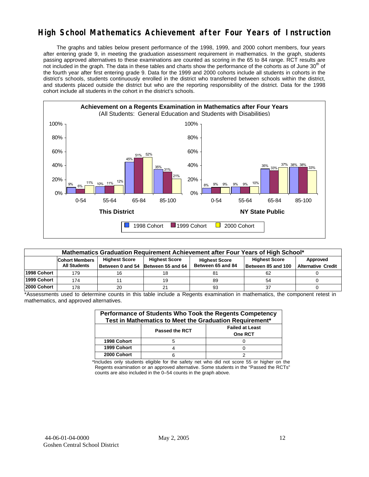# **High School Mathematics Achievement after Four Years of Instruction**

 The graphs and tables below present performance of the 1998, 1999, and 2000 cohort members, four years after entering grade 9, in meeting the graduation assessment requirement in mathematics. In the graph, students passing approved alternatives to these examinations are counted as scoring in the 65 to 84 range. RCT results are not included in the graph. The data in these tables and charts show the performance of the cohorts as of June 30<sup>th</sup> of the fourth year after first entering grade 9. Data for the 1999 and 2000 cohorts include all students in cohorts in the district's schools, students continuously enrolled in the district who transferred between schools within the district, and students placed outside the district but who are the reporting responsibility of the district. Data for the 1998 cohort include all students in the cohort in the district's schools.



| Mathematics Graduation Requirement Achievement after Four Years of High School* |                                              |                      |                                                            |                                           |                                            |                                       |  |  |  |  |
|---------------------------------------------------------------------------------|----------------------------------------------|----------------------|------------------------------------------------------------|-------------------------------------------|--------------------------------------------|---------------------------------------|--|--|--|--|
|                                                                                 | <b>Cohort Members</b><br><b>All Students</b> | <b>Highest Score</b> | <b>Highest Score</b><br>Between 0 and 54 Between 55 and 64 | <b>Highest Score</b><br>Between 65 and 84 | <b>Highest Score</b><br>Between 85 and 100 | Approved<br><b>Alternative Credit</b> |  |  |  |  |
| 1998 Cohort                                                                     | 179                                          | 16                   | 18                                                         |                                           |                                            |                                       |  |  |  |  |
| 1999 Cohort                                                                     | 174                                          |                      | 19                                                         | 89                                        | 54                                         |                                       |  |  |  |  |
| 2000 Cohort                                                                     | 178                                          | 20                   |                                                            | 93                                        | 37                                         |                                       |  |  |  |  |

\*Assessments used to determine counts in this table include a Regents examination in mathematics, the component retest in mathematics, and approved alternatives.

| Performance of Students Who Took the Regents Competency<br>Test in Mathematics to Meet the Graduation Requirement* |                       |                                          |  |  |  |  |  |
|--------------------------------------------------------------------------------------------------------------------|-----------------------|------------------------------------------|--|--|--|--|--|
|                                                                                                                    | <b>Passed the RCT</b> | <b>Failed at Least</b><br><b>One RCT</b> |  |  |  |  |  |
| 1998 Cohort                                                                                                        |                       |                                          |  |  |  |  |  |
| 1999 Cohort                                                                                                        |                       |                                          |  |  |  |  |  |
| 2000 Cohort                                                                                                        |                       |                                          |  |  |  |  |  |

\*Includes only students eligible for the safety net who did not score 55 or higher on the Regents examination or an approved alternative. Some students in the "Passed the RCTs" counts are also included in the 0–54 counts in the graph above.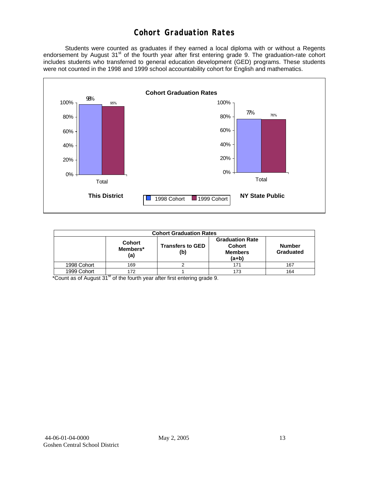# **Cohort Graduation Rates**

 Students were counted as graduates if they earned a local diploma with or without a Regents endorsement by August 31<sup>st</sup> of the fourth year after first entering grade 9. The graduation-rate cohort includes students who transferred to general education development (GED) programs. These students were not counted in the 1998 and 1999 school accountability cohort for English and mathematics.



| <b>Cohort Graduation Rates</b> |                                  |                                                               |                            |     |  |  |  |  |  |
|--------------------------------|----------------------------------|---------------------------------------------------------------|----------------------------|-----|--|--|--|--|--|
|                                | <b>Cohort</b><br>Members*<br>(a) | <b>Graduation Rate</b><br>Cohort<br><b>Members</b><br>$(a+b)$ | <b>Number</b><br>Graduated |     |  |  |  |  |  |
| 1998 Cohort                    | 169                              |                                                               | 171                        | 167 |  |  |  |  |  |
| 1999 Cohort                    | 172                              |                                                               | 173                        | 164 |  |  |  |  |  |

\*Count as of August 31<sup>st</sup> of the fourth year after first entering grade 9.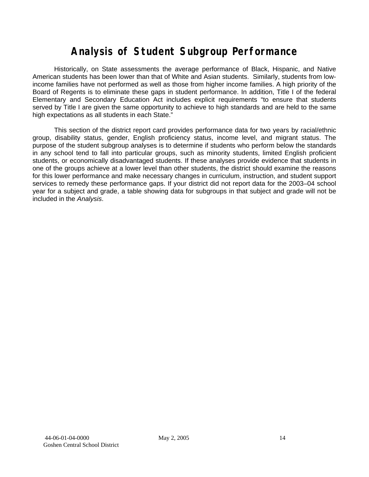# **Analysis of Student Subgroup Performance**

Historically, on State assessments the average performance of Black, Hispanic, and Native American students has been lower than that of White and Asian students. Similarly, students from lowincome families have not performed as well as those from higher income families. A high priority of the Board of Regents is to eliminate these gaps in student performance. In addition, Title I of the federal Elementary and Secondary Education Act includes explicit requirements "to ensure that students served by Title I are given the same opportunity to achieve to high standards and are held to the same high expectations as all students in each State."

This section of the district report card provides performance data for two years by racial/ethnic group, disability status, gender, English proficiency status, income level, and migrant status. The purpose of the student subgroup analyses is to determine if students who perform below the standards in any school tend to fall into particular groups, such as minority students, limited English proficient students, or economically disadvantaged students. If these analyses provide evidence that students in one of the groups achieve at a lower level than other students, the district should examine the reasons for this lower performance and make necessary changes in curriculum, instruction, and student support services to remedy these performance gaps. If your district did not report data for the 2003–04 school year for a subject and grade, a table showing data for subgroups in that subject and grade will not be included in the *Analysis*.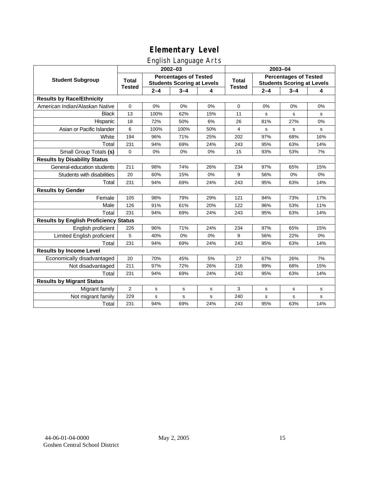# English Language Arts

|                                              |                |             | ັ<br>2002-03                                                      |     |               | 2003-04                                                           |         |       |  |
|----------------------------------------------|----------------|-------------|-------------------------------------------------------------------|-----|---------------|-------------------------------------------------------------------|---------|-------|--|
| <b>Student Subgroup</b>                      | <b>Total</b>   |             | <b>Percentages of Tested</b><br><b>Students Scoring at Levels</b> |     | <b>Total</b>  | <b>Percentages of Tested</b><br><b>Students Scoring at Levels</b> |         |       |  |
|                                              | <b>Tested</b>  | $2 - 4$     | $3 - 4$                                                           | 4   | <b>Tested</b> | $2 - 4$                                                           | $3 - 4$ | 4     |  |
| <b>Results by Race/Ethnicity</b>             |                |             |                                                                   |     |               |                                                                   |         |       |  |
| American Indian/Alaskan Native               | 0              | 0%          | 0%                                                                | 0%  | $\mathbf 0$   | 0%                                                                | 0%      | 0%    |  |
| <b>Black</b>                                 | 13             | 100%        | 62%                                                               | 15% | 11            | s                                                                 | s       | s     |  |
| Hispanic                                     | 18             | 72%         | 50%                                                               | 6%  | 26            | 81%                                                               | 27%     | 0%    |  |
| Asian or Pacific Islander                    | 6              | 100%        | 100%                                                              | 50% | 4             | s                                                                 | s       | s     |  |
| White                                        | 194            | 96%         | 71%                                                               | 25% | 202           | 97%                                                               | 68%     | 16%   |  |
| Total                                        | 231            | 94%         | 69%                                                               | 24% | 243           | 95%                                                               | 63%     | 14%   |  |
| Small Group Totals (s)                       | $\mathbf 0$    | 0%          | 0%                                                                | 0%  | 15            | 93%                                                               | 53%     | 7%    |  |
| <b>Results by Disability Status</b>          |                |             |                                                                   |     |               |                                                                   |         |       |  |
| General-education students                   | 211            | 98%         | 74%                                                               | 26% | 234           | 97%                                                               | 65%     | 15%   |  |
| Students with disabilities                   | 20             | 60%         | 15%                                                               | 0%  | 9             | 56%                                                               | 0%      | 0%    |  |
| Total                                        | 231            | 94%         | 69%                                                               | 24% | 243           | 95%                                                               | 63%     | 14%   |  |
| <b>Results by Gender</b>                     |                |             |                                                                   |     |               |                                                                   |         |       |  |
| Female                                       | 105            | 98%         | 79%                                                               | 29% | 121           | 94%                                                               | 73%     | 17%   |  |
| Male                                         | 126            | 91%         | 61%                                                               | 20% | 122           | 96%                                                               | 53%     | 11%   |  |
| Total                                        | 231            | 94%         | 69%                                                               | 24% | 243           | 95%                                                               | 63%     | 14%   |  |
| <b>Results by English Proficiency Status</b> |                |             |                                                                   |     |               |                                                                   |         |       |  |
| English proficient                           | 226            | 96%         | 71%                                                               | 24% | 234           | 97%                                                               | 65%     | 15%   |  |
| Limited English proficient                   | 5              | 40%         | 0%                                                                | 0%  | 9             | 56%                                                               | 22%     | $0\%$ |  |
| Total                                        | 231            | 94%         | 69%                                                               | 24% | 243           | 95%                                                               | 63%     | 14%   |  |
| <b>Results by Income Level</b>               |                |             |                                                                   |     |               |                                                                   |         |       |  |
| Economically disadvantaged                   | 20             | 70%         | 45%                                                               | 5%  | 27            | 67%                                                               | 26%     | 7%    |  |
| Not disadvantaged                            | 211            | 97%         | 72%                                                               | 26% | 216           | 99%                                                               | 68%     | 15%   |  |
| Total                                        | 231            | 94%         | 69%                                                               | 24% | 243           | 95%                                                               | 63%     | 14%   |  |
| <b>Results by Migrant Status</b>             |                |             |                                                                   |     |               |                                                                   |         |       |  |
| Migrant family                               | $\overline{2}$ | $\mathbf S$ | s                                                                 | s   | 3             | s                                                                 | s       | s     |  |
| Not migrant family                           | 229            | s           | s                                                                 | s   | 240           | $\mathbf s$                                                       | s       | s     |  |
| Total                                        | 231            | 94%         | 69%                                                               | 24% | 243           | 95%                                                               | 63%     | 14%   |  |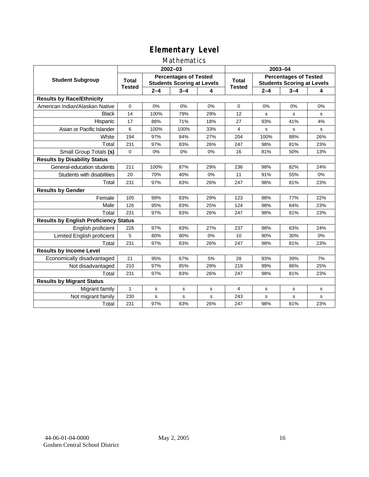#### Mathematics

|                                              |               |         | 2002-03                                                           |     |                               | 2003-04                                                           |         |     |  |
|----------------------------------------------|---------------|---------|-------------------------------------------------------------------|-----|-------------------------------|-------------------------------------------------------------------|---------|-----|--|
| <b>Student Subgroup</b>                      | <b>Total</b>  |         | <b>Percentages of Tested</b><br><b>Students Scoring at Levels</b> |     | <b>Total</b><br><b>Tested</b> | <b>Percentages of Tested</b><br><b>Students Scoring at Levels</b> |         |     |  |
|                                              | <b>Tested</b> | $2 - 4$ | $3 - 4$                                                           | 4   |                               | $2 - 4$                                                           | $3 - 4$ | 4   |  |
| <b>Results by Race/Ethnicity</b>             |               |         |                                                                   |     |                               |                                                                   |         |     |  |
| American Indian/Alaskan Native               | $\mathbf 0$   | 0%      | 0%                                                                | 0%  | $\mathbf 0$                   | 0%                                                                | 0%      | 0%  |  |
| <b>Black</b>                                 | 14            | 100%    | 79%                                                               | 29% | 12                            | s                                                                 | s       | s   |  |
| Hispanic                                     | 17            | 88%     | 71%                                                               | 18% | 27                            | 93%                                                               | 41%     | 4%  |  |
| Asian or Pacific Islander                    | 6             | 100%    | 100%                                                              | 33% | 4                             | s                                                                 | s       | s   |  |
| White                                        | 194           | 97%     | 84%                                                               | 27% | 204                           | 100%                                                              | 88%     | 26% |  |
| Total                                        | 231           | 97%     | 83%                                                               | 26% | 247                           | 98%                                                               | 81%     | 23% |  |
| Small Group Totals (s)                       | $\mathbf 0$   | 0%      | 0%                                                                | 0%  | 16                            | 81%                                                               | 50%     | 13% |  |
| <b>Results by Disability Status</b>          |               |         |                                                                   |     |                               |                                                                   |         |     |  |
| General-education students                   | 211           | 100%    | 87%                                                               | 29% | 236                           | 98%                                                               | 82%     | 24% |  |
| Students with disabilities                   | 20            | 70%     | 40%                                                               | 0%  | 11                            | 91%                                                               | 55%     | 0%  |  |
| Total                                        | 231           | 97%     | 83%                                                               | 26% | 247                           | 98%                                                               | 81%     | 23% |  |
| <b>Results by Gender</b>                     |               |         |                                                                   |     |                               |                                                                   |         |     |  |
| Female                                       | 105           | 99%     | 83%                                                               | 29% | 123                           | 98%                                                               | 77%     | 22% |  |
| Male                                         | 126           | 95%     | 83%                                                               | 25% | 124                           | 98%                                                               | 84%     | 23% |  |
| Total                                        | 231           | 97%     | 83%                                                               | 26% | 247                           | 98%                                                               | 81%     | 23% |  |
| <b>Results by English Proficiency Status</b> |               |         |                                                                   |     |                               |                                                                   |         |     |  |
| English proficient                           | 226           | 97%     | 83%                                                               | 27% | 237                           | 98%                                                               | 83%     | 24% |  |
| Limited English proficient                   | 5             | 80%     | 80%                                                               | 0%  | 10                            | 90%                                                               | 30%     | 0%  |  |
| Total                                        | 231           | 97%     | 83%                                                               | 26% | 247                           | 98%                                                               | 81%     | 23% |  |
| <b>Results by Income Level</b>               |               |         |                                                                   |     |                               |                                                                   |         |     |  |
| Economically disadvantaged                   | 21            | 95%     | 67%                                                               | 5%  | 28                            | 93%                                                               | 39%     | 7%  |  |
| Not disadvantaged                            | 210           | 97%     | 85%                                                               | 29% | 219                           | 99%                                                               | 86%     | 25% |  |
| Total                                        | 231           | 97%     | 83%                                                               | 26% | 247                           | 98%                                                               | 81%     | 23% |  |
| <b>Results by Migrant Status</b>             |               |         |                                                                   |     |                               |                                                                   |         |     |  |
| Migrant family                               | 1             | s       | s                                                                 | s   | 4                             | s                                                                 | s       | s   |  |
| Not migrant family                           | 230           | s       | s                                                                 | S   | 243                           | s                                                                 | s       | s   |  |
| Total                                        | 231           | 97%     | 83%                                                               | 26% | 247                           | 98%                                                               | 81%     | 23% |  |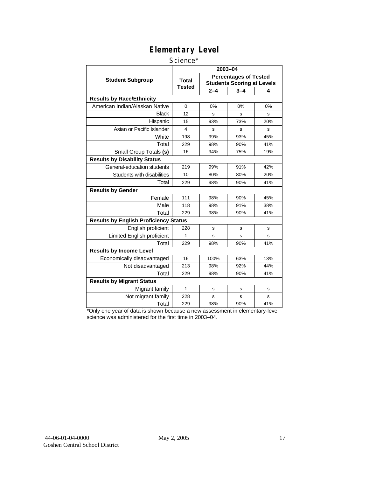#### Science\*

|                                              |                               | 2003-04 |                                                                   |     |
|----------------------------------------------|-------------------------------|---------|-------------------------------------------------------------------|-----|
| <b>Student Subgroup</b>                      | <b>Total</b><br><b>Tested</b> |         | <b>Percentages of Tested</b><br><b>Students Scoring at Levels</b> |     |
|                                              |                               | $2 - 4$ | $3 - 4$                                                           | 4   |
| <b>Results by Race/Ethnicity</b>             |                               |         |                                                                   |     |
| American Indian/Alaskan Native               | $\Omega$                      | 0%      | 0%                                                                | 0%  |
| <b>Black</b>                                 | 12                            | S       | s                                                                 | S   |
| Hispanic                                     | 15                            | 93%     | 73%                                                               | 20% |
| Asian or Pacific Islander                    | 4                             | S       | s                                                                 | s   |
| White                                        | 198                           | 99%     | 93%                                                               | 45% |
| Total                                        | 229                           | 98%     | 90%                                                               | 41% |
| Small Group Totals (s)                       | 16                            | 94%     | 75%                                                               | 19% |
| <b>Results by Disability Status</b>          |                               |         |                                                                   |     |
| General-education students                   | 219                           | 99%     | 91%                                                               | 42% |
| Students with disabilities                   | 10                            | 80%     | 80%                                                               | 20% |
| Total                                        | 229                           | 98%     | 90%                                                               | 41% |
| <b>Results by Gender</b>                     |                               |         |                                                                   |     |
| Female                                       | 111                           | 98%     | 90%                                                               | 45% |
| Male                                         | 118                           | 98%     | 91%                                                               | 38% |
| Total                                        | 229                           | 98%     | 90%                                                               | 41% |
| <b>Results by English Proficiency Status</b> |                               |         |                                                                   |     |
| English proficient                           | 228                           | s       | s                                                                 | s   |
| Limited English proficient                   | 1                             | s       | S                                                                 | S   |
| Total                                        | 229                           | 98%     | 90%                                                               | 41% |
| <b>Results by Income Level</b>               |                               |         |                                                                   |     |
| Economically disadvantaged                   | 16                            | 100%    | 63%                                                               | 13% |
| Not disadvantaged                            | 213                           | 98%     | 92%                                                               | 44% |
| Total                                        | 229                           | 98%     | 90%                                                               | 41% |
| <b>Results by Migrant Status</b>             |                               |         |                                                                   |     |
| Migrant family                               | $\mathbf{1}$                  | S       | s                                                                 | s   |
| Not migrant family                           | 228                           | s       | s                                                                 | s   |
| Total                                        | 229                           | 98%     | 90%                                                               | 41% |

\*Only one year of data is shown because a new assessment in elementary-level science was administered for the first time in 2003–04.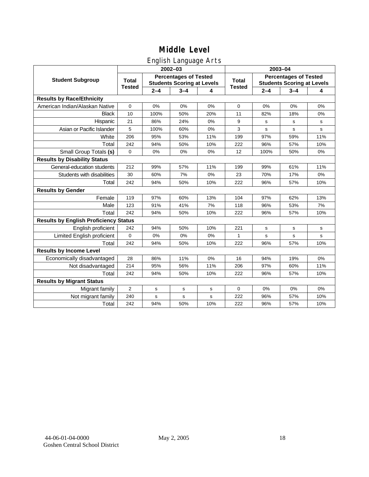## English Language Arts

|                                              |               |         | ັ<br>2002-03                                                      |     | 2003-04       |                                                                   |             |       |
|----------------------------------------------|---------------|---------|-------------------------------------------------------------------|-----|---------------|-------------------------------------------------------------------|-------------|-------|
| <b>Student Subgroup</b>                      | <b>Total</b>  |         | <b>Percentages of Tested</b><br><b>Students Scoring at Levels</b> |     | <b>Total</b>  | <b>Percentages of Tested</b><br><b>Students Scoring at Levels</b> |             |       |
|                                              | <b>Tested</b> | $2 - 4$ | $3 - 4$                                                           | 4   | <b>Tested</b> | $2 - 4$                                                           | $3 - 4$     | 4     |
| <b>Results by Race/Ethnicity</b>             |               |         |                                                                   |     |               |                                                                   |             |       |
| American Indian/Alaskan Native               | $\pmb{0}$     | 0%      | 0%                                                                | 0%  | $\mathbf 0$   | 0%                                                                | 0%          | 0%    |
| <b>Black</b>                                 | 10            | 100%    | 50%                                                               | 20% | 11            | 82%                                                               | 18%         | 0%    |
| Hispanic                                     | 21            | 86%     | 24%                                                               | 0%  | 9             | s                                                                 | s           | s     |
| Asian or Pacific Islander                    | 5             | 100%    | 60%                                                               | 0%  | 3             | s                                                                 | s           | s     |
| White                                        | 206           | 95%     | 53%                                                               | 11% | 199           | 97%                                                               | 59%         | 11%   |
| Total                                        | 242           | 94%     | 50%                                                               | 10% | 222           | 96%                                                               | 57%         | 10%   |
| Small Group Totals (s)                       | $\Omega$      | 0%      | 0%                                                                | 0%  | 12            | 100%                                                              | 50%         | 0%    |
| <b>Results by Disability Status</b>          |               |         |                                                                   |     |               |                                                                   |             |       |
| General-education students                   | 212           | 99%     | 57%                                                               | 11% | 199           | 99%                                                               | 61%         | 11%   |
| Students with disabilities                   | 30            | 60%     | 7%                                                                | 0%  | 23            | 70%                                                               | 17%         | $0\%$ |
| Total                                        | 242           | 94%     | 50%                                                               | 10% | 222           | 96%                                                               | 57%         | 10%   |
| <b>Results by Gender</b>                     |               |         |                                                                   |     |               |                                                                   |             |       |
| Female                                       | 119           | 97%     | 60%                                                               | 13% | 104           | 97%                                                               | 62%         | 13%   |
| Male                                         | 123           | 91%     | 41%                                                               | 7%  | 118           | 96%                                                               | 53%         | 7%    |
| Total                                        | 242           | 94%     | 50%                                                               | 10% | 222           | 96%                                                               | 57%         | 10%   |
| <b>Results by English Proficiency Status</b> |               |         |                                                                   |     |               |                                                                   |             |       |
| English proficient                           | 242           | 94%     | 50%                                                               | 10% | 221           | s                                                                 | $\mathbf s$ | s     |
| Limited English proficient                   | $\mathbf 0$   | 0%      | 0%                                                                | 0%  | 1             | $\mathbf s$                                                       | s           | s     |
| Total                                        | 242           | 94%     | 50%                                                               | 10% | 222           | 96%                                                               | 57%         | 10%   |
| <b>Results by Income Level</b>               |               |         |                                                                   |     |               |                                                                   |             |       |
| Economically disadvantaged                   | 28            | 86%     | 11%                                                               | 0%  | 16            | 94%                                                               | 19%         | 0%    |
| Not disadvantaged                            | 214           | 95%     | 56%                                                               | 11% | 206           | 97%                                                               | 60%         | 11%   |
| Total                                        | 242           | 94%     | 50%                                                               | 10% | 222           | 96%                                                               | 57%         | 10%   |
| <b>Results by Migrant Status</b>             |               |         |                                                                   |     |               |                                                                   |             |       |
| Migrant family                               | 2             | s       | ${\bf s}$                                                         | s   | 0             | 0%                                                                | 0%          | 0%    |
| Not migrant family                           | 240           | s       | ${\bf s}$                                                         | s   | 222           | 96%                                                               | 57%         | 10%   |
| Total                                        | 242           | 94%     | 50%                                                               | 10% | 222           | 96%                                                               | 57%         | 10%   |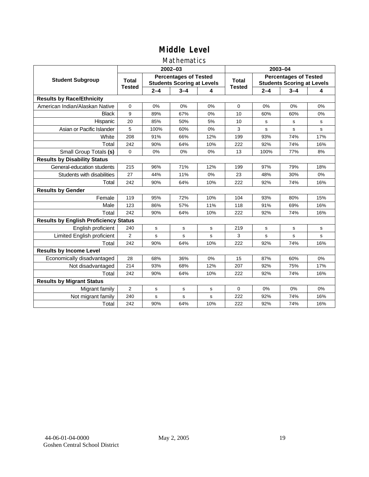#### Mathematics

|                                              |                |         | 2002-03                                                           |           |                               | 2003-04                                                           |             |     |  |
|----------------------------------------------|----------------|---------|-------------------------------------------------------------------|-----------|-------------------------------|-------------------------------------------------------------------|-------------|-----|--|
| <b>Student Subgroup</b>                      | <b>Total</b>   |         | <b>Percentages of Tested</b><br><b>Students Scoring at Levels</b> |           | <b>Total</b><br><b>Tested</b> | <b>Percentages of Tested</b><br><b>Students Scoring at Levels</b> |             |     |  |
|                                              | <b>Tested</b>  | $2 - 4$ | $3 - 4$                                                           | 4         |                               | $2 - 4$                                                           | $3 - 4$     | 4   |  |
| <b>Results by Race/Ethnicity</b>             |                |         |                                                                   |           |                               |                                                                   |             |     |  |
| American Indian/Alaskan Native               | $\mathbf 0$    | 0%      | 0%                                                                | 0%        | $\Omega$                      | 0%                                                                | 0%          | 0%  |  |
| <b>Black</b>                                 | 9              | 89%     | 67%                                                               | 0%        | 10                            | 60%                                                               | 60%         | 0%  |  |
| Hispanic                                     | 20             | 85%     | 50%                                                               | 5%        | 10                            | s                                                                 | s           | s   |  |
| Asian or Pacific Islander                    | 5              | 100%    | 60%                                                               | 0%        | 3                             | s                                                                 | s           | s   |  |
| White                                        | 208            | 91%     | 66%                                                               | 12%       | 199                           | 93%                                                               | 74%         | 17% |  |
| Total                                        | 242            | 90%     | 64%                                                               | 10%       | 222                           | 92%                                                               | 74%         | 16% |  |
| Small Group Totals (s)                       | $\mathbf 0$    | 0%      | 0%                                                                | 0%        | 13                            | 100%                                                              | 77%         | 8%  |  |
| <b>Results by Disability Status</b>          |                |         |                                                                   |           |                               |                                                                   |             |     |  |
| General-education students                   | 215            | 96%     | 71%                                                               | 12%       | 199                           | 97%                                                               | 79%         | 18% |  |
| Students with disabilities                   | 27             | 44%     | 11%                                                               | 0%        | 23                            | 48%                                                               | 30%         | 0%  |  |
| Total                                        | 242            | 90%     | 64%                                                               | 10%       | 222                           | 92%                                                               | 74%         | 16% |  |
| <b>Results by Gender</b>                     |                |         |                                                                   |           |                               |                                                                   |             |     |  |
| Female                                       | 119            | 95%     | 72%                                                               | 10%       | 104                           | 93%                                                               | 80%         | 15% |  |
| Male                                         | 123            | 86%     | 57%                                                               | 11%       | 118                           | 91%                                                               | 69%         | 16% |  |
| Total                                        | 242            | 90%     | 64%                                                               | 10%       | 222                           | 92%                                                               | 74%         | 16% |  |
| <b>Results by English Proficiency Status</b> |                |         |                                                                   |           |                               |                                                                   |             |     |  |
| English proficient                           | 240            | s       | $\mathbf s$                                                       | ${\tt s}$ | 219                           | $\mathbf s$                                                       | $\mathbf s$ | s   |  |
| Limited English proficient                   | $\overline{2}$ | s       | s                                                                 | S         | 3                             | s                                                                 | s           | s   |  |
| Total                                        | 242            | 90%     | 64%                                                               | 10%       | 222                           | 92%                                                               | 74%         | 16% |  |
| <b>Results by Income Level</b>               |                |         |                                                                   |           |                               |                                                                   |             |     |  |
| Economically disadvantaged                   | 28             | 68%     | 36%                                                               | 0%        | 15                            | 87%                                                               | 60%         | 0%  |  |
| Not disadvantaged                            | 214            | 93%     | 68%                                                               | 12%       | 207                           | 92%                                                               | 75%         | 17% |  |
| Total                                        | 242            | 90%     | 64%                                                               | 10%       | 222                           | 92%                                                               | 74%         | 16% |  |
| <b>Results by Migrant Status</b>             |                |         |                                                                   |           |                               |                                                                   |             |     |  |
| Migrant family                               | 2              | s       | s                                                                 | s         | $\Omega$                      | 0%                                                                | 0%          | 0%  |  |
| Not migrant family                           | 240            | s       | s                                                                 | S         | 222                           | 92%                                                               | 74%         | 16% |  |
| Total                                        | 242            | 90%     | 64%                                                               | 10%       | 222                           | 92%                                                               | 74%         | 16% |  |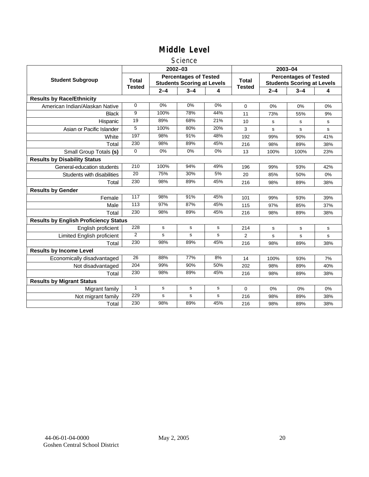#### **Science**

|                                              |                               |             | $2002 - 03$                                                       |             | 2003-04                       |                                                                   |         |     |
|----------------------------------------------|-------------------------------|-------------|-------------------------------------------------------------------|-------------|-------------------------------|-------------------------------------------------------------------|---------|-----|
| <b>Student Subgroup</b>                      | <b>Total</b><br><b>Tested</b> |             | <b>Percentages of Tested</b><br><b>Students Scoring at Levels</b> |             | <b>Total</b><br><b>Tested</b> | <b>Percentages of Tested</b><br><b>Students Scoring at Levels</b> |         |     |
|                                              |                               | $2 - 4$     | $3 - 4$                                                           | 4           |                               | $2 - 4$                                                           | $3 - 4$ | 4   |
| <b>Results by Race/Ethnicity</b>             |                               |             |                                                                   |             |                               |                                                                   |         |     |
| American Indian/Alaskan Native               | $\Omega$                      | 0%          | 0%                                                                | 0%          | $\mathbf 0$                   | 0%                                                                | 0%      | 0%  |
| <b>Black</b>                                 | 9                             | 100%        | 78%                                                               | 44%         | 11                            | 73%                                                               | 55%     | 9%  |
| Hispanic                                     | 19                            | 89%         | 68%                                                               | 21%         | 10                            | s                                                                 | s       | s   |
| Asian or Pacific Islander                    | 5                             | 100%        | 80%                                                               | 20%         | 3                             | s                                                                 | s       | s   |
| White                                        | 197                           | 98%         | 91%                                                               | 48%         | 192                           | 99%                                                               | 90%     | 41% |
| Total                                        | 230                           | 98%         | 89%                                                               | 45%         | 216                           | 98%                                                               | 89%     | 38% |
| Small Group Totals (s)                       | $\Omega$                      | 0%          | $0\%$                                                             | $0\%$       | 13                            | 100%                                                              | 100%    | 23% |
| <b>Results by Disability Status</b>          |                               |             |                                                                   |             |                               |                                                                   |         |     |
| General-education students                   | 210                           | 100%        | 94%                                                               | 49%         | 196                           | 99%                                                               | 93%     | 42% |
| Students with disabilities                   | 20                            | 75%         | 30%                                                               | 5%          | 20                            | 85%                                                               | 50%     | 0%  |
| Total                                        | 230                           | 98%         | 89%                                                               | 45%         | 216                           | 98%                                                               | 89%     | 38% |
| <b>Results by Gender</b>                     |                               |             |                                                                   |             |                               |                                                                   |         |     |
| Female                                       | 117                           | 98%         | 91%                                                               | 45%         | 101                           | 99%                                                               | 93%     | 39% |
| Male                                         | 113                           | 97%         | 87%                                                               | 45%         | 115                           | 97%                                                               | 85%     | 37% |
| Total                                        | 230                           | 98%         | 89%                                                               | 45%         | 216                           | 98%                                                               | 89%     | 38% |
| <b>Results by English Proficiency Status</b> |                               |             |                                                                   |             |                               |                                                                   |         |     |
| English proficient                           | 228                           | s           | $\mathbf s$                                                       | ${\tt s}$   | 214                           | $\mathbf s$                                                       | s       | s   |
| Limited English proficient                   | $\overline{2}$                | s           | s                                                                 | s           | $\overline{2}$                | s                                                                 | s       | s   |
| Total                                        | 230                           | 98%         | 89%                                                               | 45%         | 216                           | 98%                                                               | 89%     | 38% |
| <b>Results by Income Level</b>               |                               |             |                                                                   |             |                               |                                                                   |         |     |
| Economically disadvantaged                   | 26                            | 88%         | 77%                                                               | 8%          | 14                            | 100%                                                              | 93%     | 7%  |
| Not disadvantaged                            | 204                           | 99%         | 90%                                                               | 50%         | 202                           | 98%                                                               | 89%     | 40% |
| Total                                        | 230                           | 98%         | 89%                                                               | 45%         | 216                           | 98%                                                               | 89%     | 38% |
| <b>Results by Migrant Status</b>             |                               |             |                                                                   |             |                               |                                                                   |         |     |
| Migrant family                               | $\mathbf{1}$                  | s           | s                                                                 | s           | 0                             | 0%                                                                | 0%      | 0%  |
| Not migrant family                           | 229                           | $\mathbf s$ | $\mathbf s$                                                       | $\mathbf s$ | 216                           | 98%                                                               | 89%     | 38% |
| Total                                        | 230                           | 98%         | 89%                                                               | 45%         | 216                           | 98%                                                               | 89%     | 38% |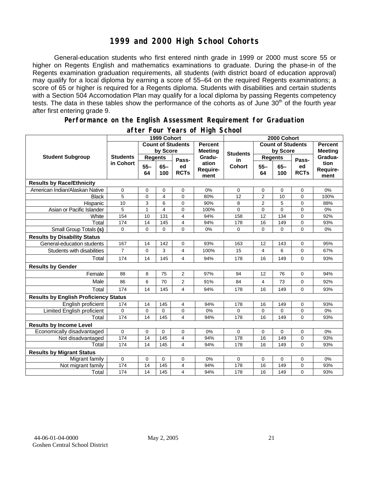## **1999 and 2000 High School Cohorts**

General-education students who first entered ninth grade in 1999 or 2000 must score 55 or higher on Regents English and mathematics examinations to graduate. During the phase-in of the Regents examination graduation requirements, all students (with district board of education approval) may qualify for a local diploma by earning a score of 55–64 on the required Regents examinations; a score of 65 or higher is required for a Regents diploma. Students with disabilities and certain students with a Section 504 Accomodation Plan may qualify for a local diploma by passing Regents competency tests. The data in these tables show the performance of the cohorts as of June 30<sup>th</sup> of the fourth year after first entering grade 9.

#### **Performance on the English Assessment Requirement for Graduation**

|                                              | 1999 Cohort                  |                          |               |                   |                                  | 2000 Cohort              |                         |               |                   |                          |  |
|----------------------------------------------|------------------------------|--------------------------|---------------|-------------------|----------------------------------|--------------------------|-------------------------|---------------|-------------------|--------------------------|--|
| <b>Student Subgroup</b>                      |                              | <b>Count of Students</b> |               |                   | <b>Percent</b><br><b>Meeting</b> | <b>Count of Students</b> |                         |               |                   | <b>Percent</b>           |  |
|                                              | <b>Students</b><br>in Cohort | by Score                 |               |                   |                                  | <b>Students</b>          | by Score                |               | <b>Meeting</b>    |                          |  |
|                                              |                              | <b>Regents</b>           |               | Pass-             | Gradu-                           | in                       | <b>Regents</b>          |               | Pass-             | Gradua-                  |  |
|                                              |                              | $55 -$<br>64             | $65 -$<br>100 | ed<br><b>RCTs</b> | ation<br>Require-<br>ment        | Cohort                   | $55 -$<br>64            | $65 -$<br>100 | ed<br><b>RCTs</b> | tion<br>Require-<br>ment |  |
| <b>Results by Race/Ethnicity</b>             |                              |                          |               |                   |                                  |                          |                         |               |                   |                          |  |
| American Indian/Alaskan Native               | 0                            | 0                        | 0             | $\mathbf 0$       | 0%                               | $\Omega$                 | 0                       | $\Omega$      | $\mathbf 0$       | 0%                       |  |
| Black                                        | 5                            | 0                        | 4             | 0                 | 80%                              | 12                       | $\overline{2}$          | 10            | 0                 | 100%                     |  |
| Hispanic                                     | 10                           | 3                        | 6             | $\mathbf 0$       | 90%                              | 8                        | $\overline{2}$          | 5             | $\mathbf 0$       | 88%                      |  |
| Asian or Pacific Islander                    | 5                            | 1                        | 4             | 0                 | 100%                             | 0                        | $\mathbf 0$             | 0             | $\mathbf 0$       | 0%                       |  |
| White                                        | 154                          | 10                       | 131           | 4                 | 94%                              | 158                      | 12                      | 134           | 0                 | 92%                      |  |
| Total                                        | 174                          | 14                       | 145           | 4                 | 94%                              | 178                      | 16                      | 149           | $\mathbf 0$       | 93%                      |  |
| Small Group Totals (s)                       | $\mathbf 0$                  | 0                        | $\mathbf 0$   | $\Omega$          | 0%                               | 0                        | $\mathbf 0$             | 0             | $\Omega$          | 0%                       |  |
| <b>Results by Disability Status</b>          |                              |                          |               |                   |                                  |                          |                         |               |                   |                          |  |
| General-education students                   | 167                          | 14                       | 142           | 0                 | 93%                              | 163                      | 12                      | 143           | $\mathbf 0$       | 95%                      |  |
| Students with disabilities                   | $\overline{7}$               | 0                        | 3             | 4                 | 100%                             | 15                       | $\overline{\mathbf{4}}$ | 6             | $\Omega$          | 67%                      |  |
| Total                                        | 174                          | 14                       | 145           | 4                 | 94%                              | 178                      | 16                      | 149           | 0                 | 93%                      |  |
| <b>Results by Gender</b>                     |                              |                          |               |                   |                                  |                          |                         |               |                   |                          |  |
| Female                                       | 88                           | 8                        | 75            | $\overline{2}$    | 97%                              | 94                       | 12                      | 76            | $\mathbf 0$       | 94%                      |  |
| Male                                         | 86                           | 6                        | 70            | $\overline{2}$    | 91%                              | 84                       | 4                       | 73            | $\mathbf 0$       | 92%                      |  |
| Total                                        | 174                          | 14                       | 145           | 4                 | 94%                              | 178                      | 16                      | 149           | $\Omega$          | 93%                      |  |
| <b>Results by English Proficiency Status</b> |                              |                          |               |                   |                                  |                          |                         |               |                   |                          |  |
| English proficient                           | 174                          | 14                       | 145           | 4                 | 94%                              | 178                      | 16                      | 149           | 0                 | 93%                      |  |
| Limited English proficient                   | 0                            | 0                        | 0             | 0                 | 0%                               | 0                        | $\mathbf 0$             | 0             | 0                 | 0%                       |  |
| Total                                        | 174                          | 14                       | 145           | 4                 | 94%                              | 178                      | 16                      | 149           | 0                 | 93%                      |  |
| <b>Results by Income Level</b>               |                              |                          |               |                   |                                  |                          |                         |               |                   |                          |  |
| Economically disadvantaged                   | 0                            | 0                        | 0             | $\mathbf 0$       | 0%                               | $\Omega$                 | $\mathbf 0$             | $\Omega$      | $\mathbf 0$       | 0%                       |  |
| Not disadvantaged                            | 174                          | 14                       | 145           | 4                 | 94%                              | 178                      | 16                      | 149           | 0                 | 93%                      |  |
| Total                                        | 174                          | 14                       | 145           | 4                 | 94%                              | 178                      | 16                      | 149           | $\Omega$          | 93%                      |  |
| <b>Results by Migrant Status</b>             |                              |                          |               |                   |                                  |                          |                         |               |                   |                          |  |
| Migrant family                               | $\mathbf 0$                  | 0                        | 0             | 0                 | 0%                               | 0                        | 0                       | $\Omega$      | $\mathbf 0$       | 0%                       |  |
| Not migrant family                           | 174                          | 14                       | 145           | 4                 | 94%                              | 178                      | 16                      | 149           | 0                 | 93%                      |  |
| Total                                        | 174                          | 14                       | 145           | 4                 | 94%                              | 178                      | 16                      | 149           | $\Omega$          | 93%                      |  |

#### **after Four Years of High School**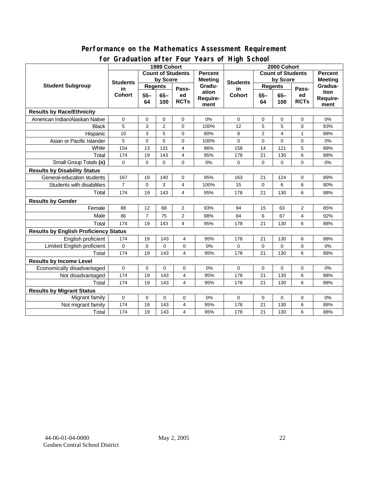#### **for Graduation after Four Years of High School 1999 Cohort Count of Students by Score Count of Students by Score** Student Subgroup Students **Busicial Students** Regents **Regents Student Students Regents in Cohort 55– 64 65– 100 Passed RCTs Percent Meeting Graduation Requirement Students in Cohort 55– 64 65– 100 Passed RCTs Percent Meeting Graduation Requirement Results by Race/Ethnicity**  American Indian/Alaskan Native 0 0 0 0 0% 0 0 0 0 0% Black | 5 | 3 | 2 | 0 | 100% | 12 | 5 | 5 | 0 | 83% Hispanic | 10 | 3 | 5 | 0 | 80% | 8 | 2 | 4 | 1 | 88% Asian or Pacific Islander 5 0 5 0 100% 0 0 0 0 0% White | 154 | 13 | 131 | 4 | 96% | 158 | 14 | 121 | 5 | 89% Total 174 19 143 4 95% 178 21 130 6 88% Small Group Totals **(s)** 0 0 0 0 0% 0 0 0 0 0% **Results by Disability Status**  General-education students | 167 | 19 | 140 | 0 | 95% | 163 | 21 | 124 | 0 | 89% Students with disabilities | 7 | 0 | 3 | 4 | 100% | 15 | 0 | 6 | 6 | 80% Total 174 19 143 4 95% 178 21 130 6 88% **Results by Gender**  Female 88 12 68 2 93% 94 15 63 2 85% Male 86 7 75 2 98% 84 6 67 4 92% Total 174 19 143 4 95% 178 21 130 6 88% **Results by English Proficiency Status**  English proficient | 174 | 19 | 143 | 4 | 95% | 178 | 21 | 130 | 6 | 88% Limited English proficient 0 0 0 0 0% 0 0 0 0 0% Total | 174 | 19 | 143 | 4 | 95% | 178 | 21 | 130 | 6 | 88% **Results by Income Level**  Economically disadvantaged 0 0 0 0 0% 0 0 0 0 0% Not disadvantaged 174 | 19 | 143 | 4 | 95% | 178 | 21 | 130 | 6 | 88% Total | 174 | 19 | 143 | 4 | 95% | 178 | 21 | 130 | 6 | 88% **Results by Migrant Status**  Migrant family 0 0 0 0 0% 0 0 0 0 0% Not migrant family 174 19 143 4 95% 178 21 130 6 88% Total | 174 | 19 | 143 | 4 | 95% | 178 | 21 | 130 | 6 | 88%

# **Performance on the Mathematics Assessment Requirement**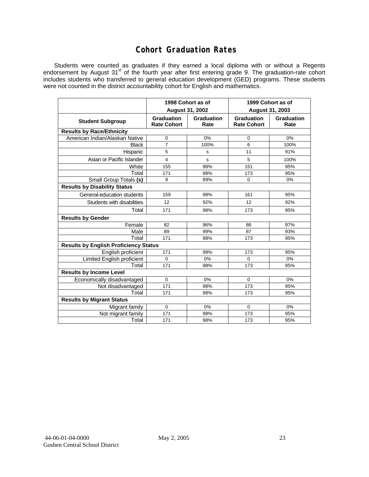## **Cohort Graduation Rates**

Students were counted as graduates if they earned a local diploma with or without a Regents endorsement by August 31<sup>st</sup> of the fourth year after first entering grade 9. The graduation-rate cohort includes students who transferred to general education development (GED) programs. These students were not counted in the district accountability cohort for English and mathematics.

|                                              |                                         | 1998 Cohort as of  | 1999 Cohort as of                       |                    |  |  |  |  |  |
|----------------------------------------------|-----------------------------------------|--------------------|-----------------------------------------|--------------------|--|--|--|--|--|
|                                              | <b>August 31, 2002</b>                  |                    | August 31, 2003                         |                    |  |  |  |  |  |
| <b>Student Subgroup</b>                      | <b>Graduation</b><br><b>Rate Cohort</b> | Graduation<br>Rate | <b>Graduation</b><br><b>Rate Cohort</b> | Graduation<br>Rate |  |  |  |  |  |
| <b>Results by Race/Ethnicity</b>             |                                         |                    |                                         |                    |  |  |  |  |  |
| American Indian/Alaskan Native               | 0                                       | 0%                 | $\mathbf 0$                             | 0%                 |  |  |  |  |  |
| <b>Black</b>                                 | $\overline{7}$                          | 100%               | 6                                       | 100%               |  |  |  |  |  |
| Hispanic                                     | 5                                       | s                  | 11                                      | 91%                |  |  |  |  |  |
| Asian or Pacific Islander                    | 4                                       | s                  | 5                                       | 100%               |  |  |  |  |  |
| White                                        | 155                                     | 98%                | 151                                     | 95%                |  |  |  |  |  |
| Total                                        | 171                                     | 98%                | 173                                     | 95%                |  |  |  |  |  |
| Small Group Totals (s)                       | 9                                       | 89%                | $\Omega$                                | 0%                 |  |  |  |  |  |
| <b>Results by Disability Status</b>          |                                         |                    |                                         |                    |  |  |  |  |  |
| General-education students                   | 159                                     | 98%                | 161                                     | 95%                |  |  |  |  |  |
| Students with disabilities                   | 12                                      | 92%                | 12                                      | 92%                |  |  |  |  |  |
| Total                                        | 171                                     | 98%                | 173                                     | 95%                |  |  |  |  |  |
| <b>Results by Gender</b>                     |                                         |                    |                                         |                    |  |  |  |  |  |
| Female                                       | 82                                      | 96%                | 86                                      | 97%                |  |  |  |  |  |
| Male                                         | 89                                      | 99%                | 87                                      | 93%                |  |  |  |  |  |
| Total                                        | 171                                     | 98%                | 173                                     | 95%                |  |  |  |  |  |
| <b>Results by English Proficiency Status</b> |                                         |                    |                                         |                    |  |  |  |  |  |
| English proficient                           | 171                                     | 98%                | 173                                     | 95%                |  |  |  |  |  |
| Limited English proficient                   | $\Omega$                                | 0%                 | $\Omega$                                | 0%                 |  |  |  |  |  |
| Total                                        | 171                                     | 98%                | 173                                     | 95%                |  |  |  |  |  |
| <b>Results by Income Level</b>               |                                         |                    |                                         |                    |  |  |  |  |  |
| Economically disadvantaged                   | $\mathbf 0$                             | 0%                 | $\mathbf 0$                             | 0%                 |  |  |  |  |  |
| Not disadvantaged                            | 171                                     | 98%                | 173                                     | 95%                |  |  |  |  |  |
| Total                                        | 171                                     | 98%                | 173                                     | 95%                |  |  |  |  |  |
| <b>Results by Migrant Status</b>             |                                         |                    |                                         |                    |  |  |  |  |  |
| Migrant family                               | $\mathbf 0$                             | 0%                 | $\mathbf 0$                             | 0%                 |  |  |  |  |  |
| Not migrant family                           | 171                                     | 98%                | 173                                     | 95%                |  |  |  |  |  |
| Total                                        | 171                                     | 98%                | 173                                     | 95%                |  |  |  |  |  |